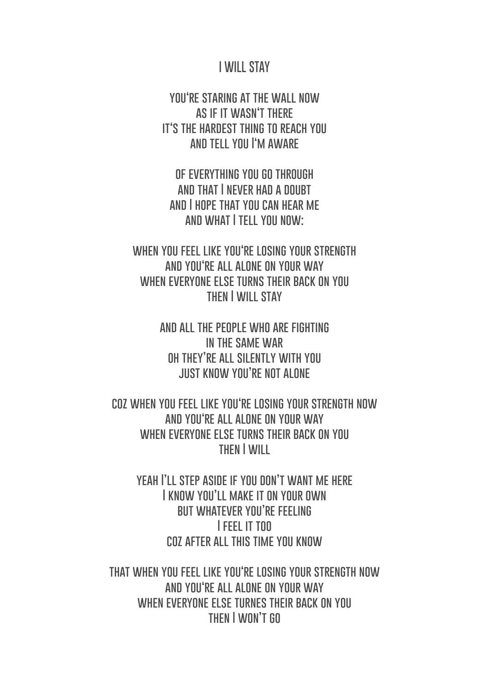## **I WILL STAY**

**you're staring at the wall now as if it wasn't there it's the hardest thing to reach you and tell you I'm aware**

**of everything you go through and that I never had a doubt and I hope that you can hear me and what I tell you now:**

**when you feel like you're losing your strength and you're all alone on your way when everyone else turns their back on you then I will stay**

> **and all the people who are fighting in the same war oh they're all silently with you just know you're not alone**

**coz when you feel like you're losing your strength now and you're all alone on your way when everyone else turns their back on you then I will** 

**yeah I'll step aside if you don't want me here I know you'll make it on your own but whatever you're feeling I feel it too coz after all this time you know**

**that when you feel like you're losing your strength now and you're all alone on your way when everyone else turnes their back on you then I won't go**